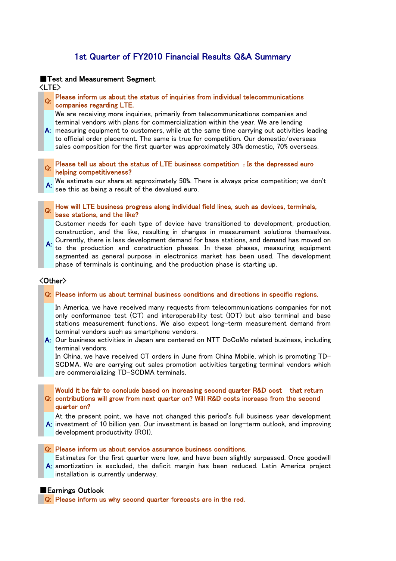# 1st Quarter of FY2010 Financial Results Q&A Summary

### ■Test and Measurement Segment <LTE>

# Q: Please inform us about the status of inquiries from individual telecommunications companies regarding LTE.

We are receiving more inquiries, primarily from telecommunications companies and terminal vendors with plans for commercialization within the year. We are lending

A: measuring equipment to customers, while at the same time carrying out activities leading to official order placement. The same is true for competition. Our domestic/overseas sales composition for the first quarter was approximately 30% domestic, 70% overseas.

## Please tell us about the status of LTE business competition . Is the depressed euro Q: helping competitiveness?

We estimate our share at approximately 50%. There is always price competition; we don't see this as being a result of the devalued euro.

Q: How will LTE business progress along individual field lines, such as devices, terminals, base stations, and the like?

Customer needs for each type of device have transitioned to development, production, construction, and the like, resulting in changes in measurement solutions themselves.

A: Currently, there is less development demand for base stations, and demand has moved on<br>A: the the conclusion and construction whose stations whose measurements were not to the production and construction phases. In these phases, measuring equipment segmented as general purpose in electronics market has been used. The development phase of terminals is continuing, and the production phase is starting up.

## <Other>

#### Q: Please inform us about terminal business conditions and directions in specific regions.

In America, we have received many requests from telecommunications companies for not only conformance test (CT) and interoperability test (IOT) but also terminal and base stations measurement functions. We also expect long-term measurement demand from terminal vendors such as smartphone vendors.

A: Our business activities in Japan are centered on NTT DoCoMo related business, including terminal vendors.

In China, we have received CT orders in June from China Mobile, which is promoting TD-SCDMA. We are carrying out sales promotion activities targeting terminal vendors which are commercializing TD-SCDMA terminals.

Q: contributions will grow from next quarter on? Will R&D costs increase from the second Would it be fair to conclude based on increasing second quarter R&D cost that return quarter on?

A: investment of 10 billion yen. Our investment is based on long-term outlook, and improving At the present point, we have not changed this period's full business year development development productivity (ROI).

#### Q: Please inform us about service assurance business conditions.

A: amortization is excluded, the deficit margin has been reduced. Latin America project Estimates for the first quarter were low, and have been slightly surpassed. Once goodwill installation is currently underway.

### ■Earnings Outlook

**Q:** Please inform us why second quarter forecasts are in the red.